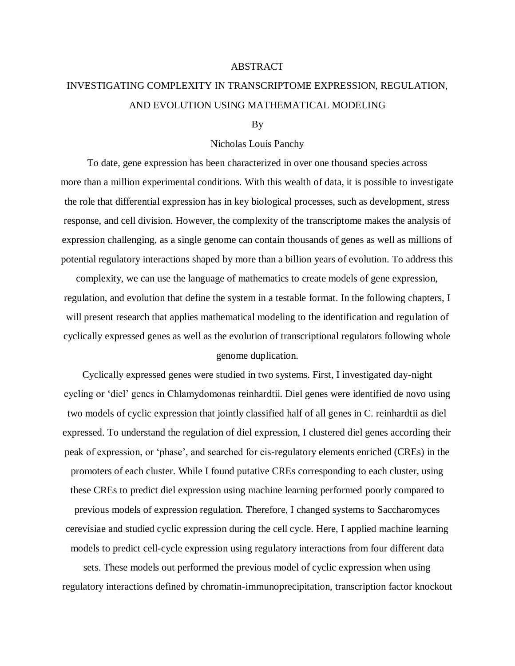## ABSTRACT

## INVESTIGATING COMPLEXITY IN TRANSCRIPTOME EXPRESSION, REGULATION, AND EVOLUTION USING MATHEMATICAL MODELING

## By

## Nicholas Louis Panchy

To date, gene expression has been characterized in over one thousand species across more than a million experimental conditions. With this wealth of data, it is possible to investigate the role that differential expression has in key biological processes, such as development, stress response, and cell division. However, the complexity of the transcriptome makes the analysis of expression challenging, as a single genome can contain thousands of genes as well as millions of potential regulatory interactions shaped by more than a billion years of evolution. To address this

complexity, we can use the language of mathematics to create models of gene expression, regulation, and evolution that define the system in a testable format. In the following chapters, I will present research that applies mathematical modeling to the identification and regulation of cyclically expressed genes as well as the evolution of transcriptional regulators following whole genome duplication.

Cyclically expressed genes were studied in two systems. First, I investigated day-night cycling or 'diel' genes in Chlamydomonas reinhardtii. Diel genes were identified de novo using two models of cyclic expression that jointly classified half of all genes in C. reinhardtii as diel expressed. To understand the regulation of diel expression, I clustered diel genes according their peak of expression, or 'phase', and searched for cis-regulatory elements enriched (CREs) in the promoters of each cluster. While I found putative CREs corresponding to each cluster, using these CREs to predict diel expression using machine learning performed poorly compared to previous models of expression regulation. Therefore, I changed systems to Saccharomyces cerevisiae and studied cyclic expression during the cell cycle. Here, I applied machine learning models to predict cell-cycle expression using regulatory interactions from four different data

sets. These models out performed the previous model of cyclic expression when using regulatory interactions defined by chromatin-immunoprecipitation, transcription factor knockout